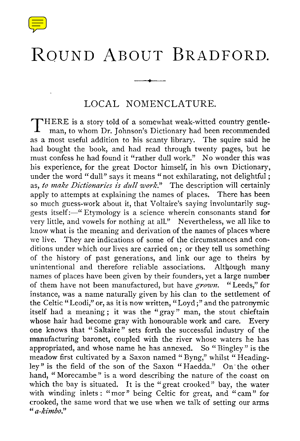

## ROUND ABOUT BRADFORD.

## LOCAL NOMENCLATURE.

**T HERE is a story told of a somewhat weak-witted country gentleman, to whom Dr. Johnson's Dictionary had been recommended as a most useful addition to his scanty library . The squire said he had bought the book, and had read through twenty pages, but he must confess he had found it "rather dull work ." No wonder this was his experience, for the great Doctor himself, in his own Dictionary, under the word "dull" says it means "not exhilarating, not delightful ; as, to make Dictionaries is dull work." The description will certainly apply to attempts at explaining the names of places . There has been so much guess-work about it, that Voltaire's saying involuntarily suggests itself:—" Etymology is a science wherein consonants stand for very little, and vowels for nothing at all." Nevertheless, we all like to know what is the meaning and derivation of the names of places where** we live. They are indications of some of the circumstances and con**ditions under which our lives are carried on ; or they tell us something of the history of past generations, and link our age to theirs by unintentional and therefore reliable associations. Although many names of places have been given by their founders, yet a large number of them have not been manufactured, but have grown. "Leeds," for instance, was a name naturally given by his clan to the settlement of the Celtic "Leodi," or, as it is now written, "Loyd ;" and the patronymic itself had a meaning ; it was the "gray" man, the stout chieftain whose hair had become gray with honourable work and care. Every one knows that "Saltaire" sets forth the successful industry of the manufacturing baronet, coupled with the river whose waters he has appropriated, and whose name he has annexed. So "Bingley" is the meadow first cultivated by a Saxon named " Byng," whilst " Headingley" is the field of the son of the Saxon "Haedda ." On' the other hand, "Morecambe" is a word describing the nature of the coast on** which the bay is situated. It is the "great crooked" bay, the water **with winding inlets : "mor" being Celtic for great, and "cam" for crooked, the same word that we use when we talk of setting our arms "a-kimbo."**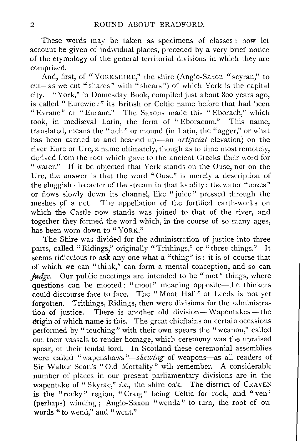These words may be taken as specimens of classes : now let account be given of individual places, preceded by a very brief notice of the etymology of the general territorial divisions in which they are comprised.

And, first, of "YORKSHIRE," the shire (Anglo-Saxon "scyran," to cut—as we cut "shares" with "shears") of which York is the capital city. "York," in Domesday Book, compiled just about 800 years ago, is called " Eurewic : " its British or Celtic name before that had been " Evrauc" or " Eurauc." The Saxons made this " Eborach," which took, in mediæval Latin, the form of "Eboracum." This name, translated, means the "ach" or mound (in Latin, the "agger," or what has been carried to and heaped up—an *artificial elevation) on the river Eure or Ure, a name ultimately, though as to time most remotely, derived from the root which gave to the ancient Greeks their word for "water." If it be objected that York stands on the Ouse, not on the Ure, the answer is that the word "Ouse" is merely a description of the sluggish character of the stream in that locality : the water "oozes" or flows slowly down its channel, like " juice" pressed through the meshes of a net. The appellation of the fortified earth-works on which the Castle now stands was joined to that of the river, and together they formed the word which, in the course of so many ages, has been worn down to* "YORK."

The Shire was divided for the administration of justice into three parts, called "Ridings," originally "Trithings," or "three things." It seems ridiculous to ask any one what a "thing" is: it is of course that of which we can "think," can form a mental conception, and so can *judge*. Our public meetings are intended to be "mot" things, where *questions can be mooted : "moot" meaning opposite—the thinkers could discourse face to face. The "Moot Hall" at Leeds is not yet* forgotten. Trithings, Ridings, then were divisions for the administra*tion of justice. There is another old division—Wapentakes —the origin of which name is this. The great chieftains on certain occasions performed by "touching" with their own spears the "weapon," called out their vassals to render homage, which ceremony was the upraised spear, of their feudal lord. In Scotland these ceremonial assemblies were called "wapenshaws "—skewing of weapons—as all readers of Sir Walter Scott's "Old Mortality" will remember. A considerable number of places in our present parliamentary divisions are in the wapentake of " Skyrac," i.e., the shire oak. The district of* CRAVEN is the "rocky" region, "Craig" being Celtic for rock, and "ven' (perhaps) winding ; Anglo-Saxon "wenda" to turn, the root of our words "to wend," and "went."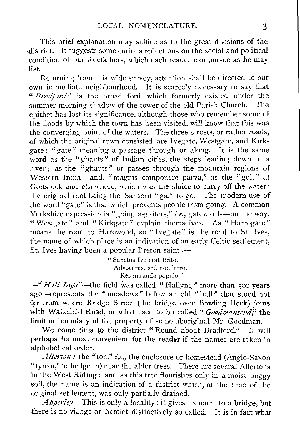This brief explanation may suffice as to the great divisions of the district. It suggests some curious reflections on the social and political condition of our forefathers, which each reader can pursue as he may list.

Returning from this wide survey, attention shall be directed to our own immediate neighbourhood. It is scarcely necessary to say that "Bradford" is the broad ford which formerly existed under the summer-morning shadow of the tower of the old Parish Church. The epithet has lost its significance, although those who remember some of the floods by which the town has been visited, will know that this was the converging point of the waters. The three streets, or rather roads, of which the original town consisted, are Ivegate, Westgate, and Kirkgate: "gate" meaning a passage through or along. It is the same word as the "ghauts" of Indian cities, the steps leading down to a river ; as the "ghauts" or passes through the mountain regions of Western India; and, "magnis componere parva," as the "goit" at Goitstock and elsewhere, which was the sluice to carry off the water: the original root being the Sanscrit "ga," to go. The modern use of the word "gate" is that which prevents people from going. A common Yorkshire expression is "going a-gaiters," i.e., gatewards—on the way. "Westgate" and "Kirkgate" explain themselves. As "Harrogate" means the road to Harewood, so "Ivegate" is the road to St. Ives, the name of which place is an indication of an early Celtic settlement, St. Ives having been a popular Breton saint:-

> " Sanctus Ivo erat Brito, Advocatus, sed non latro, Res miranda populo. "

—"*Hall Ings "—the field was called "Hallyng" more than 500 years ago—represents the "meadows" below an old "hall" that stood not far from where Bridge Street (the bridge over Bowling Beck) joins with Wakefield Road, or what used to be called "Goodmansend," the limit or boundary of the property of some aboriginal Mr. Goodman.*

We come thus to the district "Round about Bradford." It will perhaps be most convenient for the reader if the names are taken in alphabetical order.

*Allerton : the "ton," i.e ., the enclosure or homestead (Anglo-Saxon "tynan," to hedge in) near the alder trees. There are several Allertons in the West Riding : and as this tree flourishes only in a moist boggy soil, the name is an indication of a district which, at the time of the original settlement, was only partially drained.*

*Apperley . This is only a locality : it gives its name to a bridge, but there is no village or hamlet distinctively so called . It is in fact what*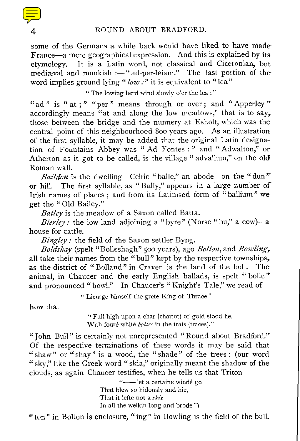some of the Germans a while back would have liked to have made France—a mere geographical expression. And this is explained by its etymology. It is a Latin word, not classical and Ciceronian, but mediæval and monkish :- "ad-per-leiam." The last portion of the word implies ground lying "  $low$  :" it is equivalent to "lea"—

"The lowing herd wind slowly o'er the lea :"

"ad" is " at ; " "per" means through or over ; and "Apperley" accordingly means "at and along the low meadows," that is to say, those between the bridge and the nunnery at Esholt, which was the central point of this neighbourhood 800 years ago. As an illustration of the first syllable, it may be added that the original Latin designation of Fountains Abbey was " Ad Fontes :" and "Adwalton," or Atherton as it got to be called, is the village " advallum," on the old Roman wall.

*Baildon is the dwelling—Celtic "baile," an abode—on the "dun"' or hill. The first syllable, as "Bally," appears in a large number of Irish names of places ; and from its Latinised form of "ballium" we get the " Old Bailey."*

*Batley is the meadow of a Saxon called Batta.*

*Bierley: the low land adjoining a "byre" (Norse "bu," a cow)—a house for cattle.*

*Bingley : the field of the Saxon settler Byng.*

*Boldshay (spelt "Bolleshagh" 500 years), ago Bolton, and Bowling,. all take their names from the "bull" kept by the respective townships, as the district of "Bolland" in Craven is the land of the bull. The animal, in Chaucer and the early English ballads, is spelt "bolle" and pronounced "bowl." In Chaucer's " Knight's Tale," we read of*

" Licurge himself the grete King of Thrace"

how that

" Full high upon a char (chariot) of gold stood he, With foure white *belles in the trais (traces) . "*

" John Bull" is certainly not unrepresented "Round about Bradford." Of the respective terminations of these words it may be said that "shaw" or "shay" is a wood, the "shade" of the trees: (our word "sky," like the Greek word "skia," originally meant the shadow of the clouds, as again Chaucer testifies, when he tells us that Triton

> "—let a certaine winde go That blew so hidously and hie, That it lefte not *a skie* In all the welkin long and brode")

"ton" in Bolton is enclosure, "ing" in Bowling is the field of the bull.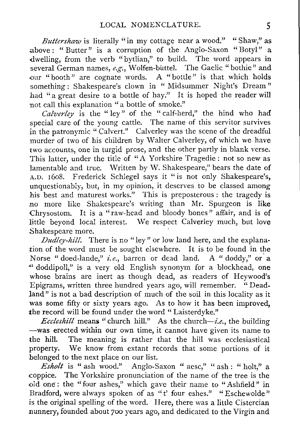*Buttershaw is literally "in my cottage near a wood." "Shaw," as above : " Butter " is a corruption of the Anglo-Saxon "Botyl" a* dwelling, from the verb "bytlian," to build. The word appears in *several German names, e .g., Wolfen-biittel . The Gaelic "bothie" and our "booth" are cognate words. A "bottle" is that which holds something : Shakespeare's clown in " Midsummer Night's Dream" had "a great desire to a bottle of hay." It is hoped the reader will not call this explanation "a bottle of smoke."*

*Calverley is the " ley" of the " calf-herd," the hind who had special care of the young cattle . The name of this servitor survives in the patronymic "Calvert."* Calverley was the scene of the dreadful *murder of two of his children by Walter Calverley, of which we have two accounts, one in turgid prose, and the other partly in blank verse. This latter, under the title of "A Yorkshire Tragedie : not so new as lamentable and true . Written by W. Shakespeare," bears the date of <sup>A</sup> .D. 1608 . Frederick Schlegel says it "is not only Shakespeare's, unquestionably, but, in my opinion, it deserves to be classed among his best and maturest works." This is preposterous : the tragedy is no more like Shakespeare's writing than Mr. Spurgeon is like Chrysostom. It is a " raw-head and bloody bones" affair, and is of little beyond local interest. We respect Calverley much, but love Shakespeare more.*

*Dudley-hill. There is no "ley" or low land here, and the explanation of the word must be sought elsewhere. It is to be found in the Norse " doed-lande," i.e., barren or dead land . A " doddy," or a ' doddipoll," is a very old English synonym for a blockhead, one whose brains are inert as though dead, as readers of Heywood's Epigrams, written three hundred years ago, will remember. " Deadland" is not a bad description of much of the soil in this locality as it was some fifty or sixty years ago. As to how it has been improved, the record will be found under the word " Laisterdyke . "*

*Eccleshill means "church hill ." As the church—i.e., the building —was erected within our own time, it cannot have given its name to the hill. The meaning is rather that the hill was ecclesiastical property. We know from extant records that some portions of it belonged to the next place on our list.*

*Esholt is " ash wood." Anglo-Saxon " aesc," " ash : " holt," a coppice. The Yorkshire pronunciation of the name of the tree is the old one : the "four ashes," which gave their name to "Ashfield" in Bradford, were always spoken of as "t' four eshes." "Eschewolde" is the original spelling of the word . Here, there was a little Cistercian nunnery, founded about 700 years ago, and dedicated to the Virgin and*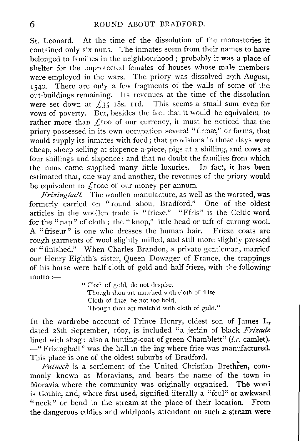St. Leonard. At the time of the dissolution of the monasteries it contained only six nuns. The inmates seem from their names to have belonged to families in the neighbourhood ; probably it was a place of shelter for the unprotected females of houses whose male members were employed in the wars. The priory was dissolved 29th August, 1540 . There are only a few fragments of the walls of some of the out-buildings remaining. Its revenues at the time of the dissolution were set down at  $f_3\bar{5}$  18s. 11d. This seems a small sum even for vows of poverty. But, besides the fact that it would be equivalent to rather more than  $f_1$ 100 of our currency, it must be noticed that the priory possessed in its own occupation several "firmæ," or farms, that would supply its inmates with food ; that provisions in those days were cheap, sheep selling at sixpence a-piece, pigs at a shilling, and cows at four shillings and sixpence ; and that no doubt the families from which the nuns came supplied many little luxuries. In fact, it has been estimated that, one way and another, the revenues of the priory would be equivalent to  $f<sub>i</sub>1000$  of our money per annum.

*Frizinghall. The woollen manufacture, as well as the worsted, was formerly carried on "round about Bradford."* One of the oldest *articles in the woollen trade is "frieze ." "Ffris" is the Celtic word for the "nap " of cloth ; the "knop," little head or tuft of curling wool. A "friseur" is one who dresses the human hair. Frieze coats are rough garments of wool slightly milled, and still more slightly pressed or "finished." When Charles Brandon, a private gentleman, married our Henry Eighth's sister, Queen Dowager of France, the trappings of his horse were half cloth of gold and half frieze, with the following motto :*

" Cloth of gold, do not despise, Though thou art matched with cloth of frize : Cloth of frize, be not too bold, Though thou art match'd with cloth of gold."

In the wardrobe account of Prince Henry, eldest son of James I., dated 28th September, 1607, is included "a jerkin of black *Frizade lined with shag* : also a hunting-coat of green Chamblett" (*i.e.* camlet). *—" Frizinghall" was the hall in the ing where frize was manufactured. This place is one of the oldest suburbs of Bradford.*

*Fulneck is a settlement of the United Christian Brethren, commonly known as Moravians, and bears the name of the town in Moravia where the community was originally organised . The word is Gothic, and, where first used, signified literally a "foul" or awkward "neck" or bend in the stream at the place of their location . From the dangerous eddies and whirlpools attendant on such a stream were*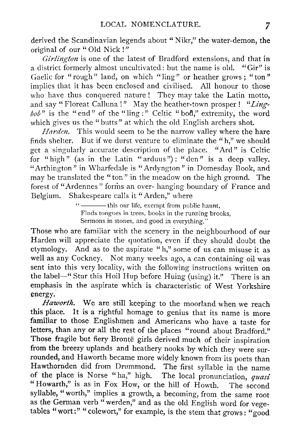derived the Scandinavian legends about "Nikr," the water-demon, the original of our " Old Nick !"

*Girlington is one of the latest of Bradford extensions, and that in a district formerly almost uncultivated : but the name is old . "Gir" is Gaelic for "rough " land, on which "ling" or heather grows ; " ton" implies that it has been enclosed and civilised. All honour to those who have thus conquered nature ! They may take the Latin motto, and say " Floreat Calluna !" May the heather-town prosper ! "Lingbob " is the " end " of the "ling :" Celtic "bod," extremity, the word which gives us the "butts" at which the old English archers shot.*

*Harden*. This would seem to be the narrow valley where the hare *finds shelter. But if we durst venture to eliminate the "h," we should get a singularly accurate description of the place . "Ard" is Celtic for "high" (as in the Latin " arduus ") : "den" is a deep valley. "Arthington " in Wharfedale is "Ardyngton" in Domesday Book, and may be translated the "ton" in the meadow on the high ground. The forest of "Ardennes " forms an over- hanging boundary of France and* Shakespeare calls it "Arden," where

> "
> interest this our life, exempt from public haunt, Finds tongues in trees, books in the running brooks, Sermons in stones, and good in everything."

Those who are familiar with the scenery in the neighbourhood of our Harden will appreciate the quotation, even if they should doubt the etymology. And as to the aspirate "h," some of us can misuse it as well as any Cockney. Not many weeks ago, a can containing oil was sent into this very locality, with the following instructions written on the label—" Stur this Hoil Hup before Huing (using) it ." There is an emphasis in the aspirate which is characteristic of West Yorkshire energy.

*Haworth . We are still keeping to the moorland when we reach this place. It is a rightful homage to genius that its name is more familiar to those Englishmen and Americans who have a taste for letters, than any or all the rest of the places "round about Bradford ." Those fragile but fiery Bronte girls derived much of their inspiration from the breezy uplands and heathery nooks by which they were surrounded, and Haworth became more widely known from its poets than Hawthornden did from Drummond. The first syllable in the name of the place is Norse "ha," high. The local pronunciation, quasi "Howarth," is as in Fox How, or the hill of Howth . The second syllable, "worth," implies a growth, a becoming, from the same root as the German verb "werden," and as the old English word for vegetables "wort :" "colewort," for example, is the stem that grows : "good*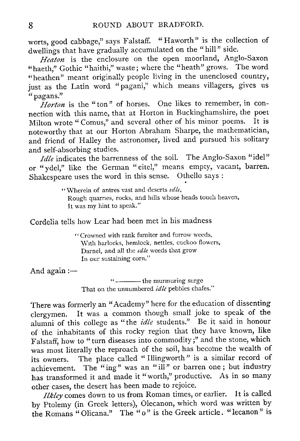worts, good cabbage," says Falstaff. "Haworth" is the collection of dwellings that have gradually accumulated on the "hill" side.

*Heaton is the enclosure on the open moorland, Anglo-Saxon "haeth," Gothic "haithi," waste ; where the "heath" grows. The word "heathen" meant originally people living in the unenclosed country, just as the Latin word "pagani," which means villagers, gives us "pagans."*

*Horton is the "ton" of horses. One likes to remember, in connection with this name, that at Horton in Buckinghamshire, the poet Milton wrote " Comus," and several other of his minor poems . It is noteworthy that at our Horton Abraham Sharpe, the mathematician, and friend of Halley the astronomer, lived and pursued his solitary and self-absorbing studies.*

*Idle* indicates the barrenness of the soil. The Anglo-Saxon "idel" *or "ydel," like the German "eitel," means empty, vacant, barren. Shakespeare uses the word in this sense. Othello says :*

> " Wherein of antres vast and deserts  $idle$ , Rough quarries, rocks, and hills whose heads touch heaven, It was my hint to speak."

Cordelia tells how Lear had been met in his madness

" Crowned with rank fumiter and furrow weeds, With harlocks, hemlock, nettles, cuckoo flowers, Darnel, and all the *idle* weeds that grow In our sustaining corn."

And again:-

the murmuring surge That on the unnumbered *idle* pebbles chafes."

There was formerly an "Academy" here for the education of dissenting clergymen. It was a common though small joke to speak of the alumni of this college as "the *idle students." Be it said in honour of the inhabitants of this rocky region that they have known, like Falstaff, how to "turn diseases into commodity ;" and the stone, which was most literally the reproach of the soil, has become the wealth of its owners. The place called " Illingworth" is a similar record of achievement. The "ing" was an "ill" or barren one ; but industry has transformed it and made it "worth," productive. As in so many other cases, the desert has been made to rejoice.*

*Ilkley comes down to us from Roman times, or earlier. It is called by Ptolemy (in Greek letters), Olecanon, which word was written by the Romans "Olicana ." The "o" is the Greek article . "lecanon" is*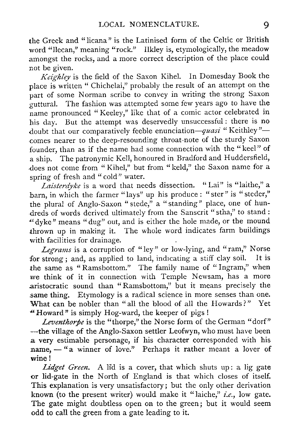the Greek and "licana" is the Latinised form of the Celtic or British word "llecan," meaning "rock." Ilkley is, etymologically, the meadow amongst the rocks, and a more correct description of the place could not be given.

*Keighley is the field of the Saxon Kihel. In Domesday Book the place is written " Chichelai," probably the result of an attempt on the part of some Norman scribe to convey in writing the strong Saxon guttural. The fashion was attempted some few years ago to have the name pronounced "Keeley," like that of a comic actor celebrated in his day. But the attempt was deservedly unsuccessful : there is no doubt that our comparatively feeble enunciation—quasi " Keithley " comes nearer to the deep-resounding throat-note of the sturdy Saxon founder, than as if the name had some connection with the "keel" of a ship. The patronymic Kell, honoured in Bradford and Huddersfield, does not come from " Kihel," but from "keld," the Saxon name for a spring of fresh and "cold" water.*

*Laisterdyke is a word that needs dissection . " Lai " is "laithe, " a barn, in which the farmer "lays" up his produce : "ster " is "steder," the plural of Anglo-Saxon "stede," a "standing" place, one of hundreds of words derived ultimately from the Sanscrit "stha," to stand : 'dyke" means "dug" out, and is either the hole made, or the mound thrown up in making it. The whole word indicates farm buildings with facilities for drainage.*

*Legrams is a corruption of "ley" or low-lying, and "ram," Norse for strong ; and, as applied to land, indicating a stiff clay soil . It is the same as " Ramsbottom." The family name of "Ingram," when we think of it in connection with Temple Newsam, has a more aristocratic sound than "Ramsbottom," but it means precisely the same thing. Etymology is a radical science in more senses than one. What can be nobler than "all the blood of all the Howards?" Yet 'Howard" is simply Hog-ward, the keeper of pigs !*

*Leventhorpe* is the "thorpe," the Norse form of the German "dorf" *—the village of the Anglo-Saxon settler Leofwyn, who must have been a very estimable personage, if his character corresponded with his name, - "a winner of love."* Perhaps it rather meant a lover of *wine !*

*Lidget Green. A lid is a cover, that which shuts up : a lig gate or lid-gate in the North of England is that which closes of itself. This explanation is very unsatisfactory ; but the only other derivation known (to the present writer) would make it "laithe," i.e ., low gate. The gate might doubtless open on to the green ; but it would seem odd to call the green from a gate leading to it.*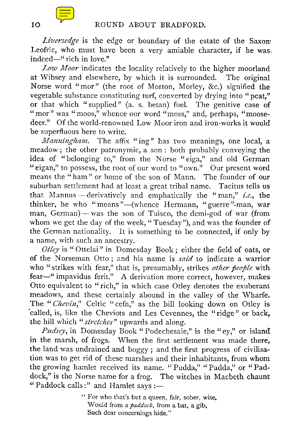*Liversedge is the edge or boundary of the estate of the Saxon, Leofric, who must have been a very amiable character, if he was indeed—" rich in love ."*

*Low Moor indicates the locality relatively to the higher moorland at Wibsey and elsewhere, by which it is surrounded . The original Norse word "mor" (the root of Morton, Morley, &c .) signified the vegetable substance constituting turf, converted by drying into "peat," or that which "supplied" (a. s. betan) fuel . The genitive case of "mor" was "moos," whence our word "moss," and, perhaps, "moosedeer." Of the world-renowned Low Moor iron and iron-works it would be superfluous here to write.*

*Manningham. The affix "ing" has two meanings, one local, a meadow ; the other patronymic, a son : both probably conveying the idea of "belonging to," from the Norse "eiga," and old German "eigan," to possess, the root of our word to "own ." Our present word means the "ham" or home of the son of Mann . The founder of our suburban settlement had at least a great tribal name. Tacitus tells us that Mannus —derivatively and emphatically the "man," i.e., the thinker, he who "means"—(whence Hermann, "guerre"-man, war man, German) — was the son of Tuisco, the demi-god of war (from whom we get the day of the week, "Tuesday"), and was the founder of the German nationality. It is something to be connected, if only by a name, with such an ancestry.*

*Otley is " Ottelai" in Domesday Book ; either the field of oats, or of the Norseman Otto ; and his name is said to indicate a warrior* who "strikes with fear," that is, presumably, strikes *other people* with *fear—" impavidus ferit. " A derivation more correct, however, makes Otto equivalent to "rich," in which case Otley denotes the exuberant meadows, and these certainly abound in the valley of the Wharfe. The "Chevin," Celtic "cefn," as the hill looking down on Otley is called, is, like the Cheviots and Les Cevennes, the "ridge" or back, the hill which " stretches" upwards and along.*

*Pudsey, in Domesday Book "Podechesaie," is the "ey," or island in the marsh, of frogs. When the first settlement was made there, the land was undrained and boggy ; and the first progress of civilisation was to get rid of these marshes and their inhabitants, from whom the growing hamlet received its name . "Pudda, " "Padda," or "Paddock," is the Norse name for a frog . The witches in Macbeth chaunt "Paddock calls :" and Hamlet says :*

> " For who that's but a queen, fair, sober, wise, Would from *a paddock, from a bat, a gib, Such dear concernings hide ."*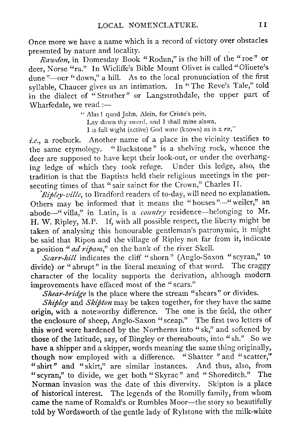Once more we have a name which is a record of victory over obstacles presented by nature and locality.

*Rawdon, in Domesday Book "Rodun," is the hill of the "roe" or deer, Norse "ra." In Wicliffe's Bible Mount Olivet is called "Oliuete's dune "—our "down," a hill. As to the local pronunciation of the first syllable, Chaucer gives us an intimation . In "The Reve's Tale," told in the dialect of "Strother" or Langstrothdale, the upper part of Wharfedale, we read :*

> " Alas! quod John, Alein, for Criste's pein, Lay down thy swerd, and I shall mine alswa, I is full wight (active) God wate (knows) as is a  $ra$ ,"

*i.e., a roebuck. Another name of a place in the vicinity testifies to the same etymology. " Buckstone " is a shelving rock, whence the deer are supposed to have kept their look-out, or under the overhanging ledge of which they took refuge. Under this ledge, also, the tradition is that the Baptists held their religious meetings in the persecuting times of that " sair sainct for the Crown, " Charles II.*

*Ripley-ville, to Bradford readers of to-day, will need no explanation. Others may be informed that it means the "houses"--" weiler," an abode—" villa," in Latin, is a country residence—belonging to Mr. H. W. Ripley, M.P. If, with all possible respect, the liberty might be taken of analysing this honourable gentleman's patronymic, it might be said that Ripon and the village of Ripley not far from it, indicate a position "ad ripam," on the bank of the river Skell.*

*Scarr-hill indicates the cliff "shorn" (Anglo-Saxon "scyran," to divide) or "abrupt " in the literal meaning of that word. The craggy character of the locality supports the derivation, although modern improvements have effaced most of the "scars."*

*Shear-bridge is the place where the stream "shears " or divides.*

*Shipley and Skipton may be taken together, for they have the same origin, with a noteworthy difference . The one is the field, the other the enclosure of sheep, Anglo-Saxon "sceap ." The first two letters of this word were hardened by the Northerns into "sk," and softened by those of the latitude, say, of Bingley or thereabouts, into "sh."* So we *have a shipper and a skipper, words meaning the same thing originally, though now employed with a difference . "Shatter "and "scatter," "shirt" and "skirt," are similar instances. And thus, also, from "scyran," to divide, we get both " Skyrac" and " Shoreditch." The Norman invasion was the date of this diversity . Skipton is a place of historical interest. The legends of the Romilly family, from whom came the name of Romald's or Rumbles Moor—the story so beautifully told by Wordsworth of the gentle lady of Rylstone with the milk-white*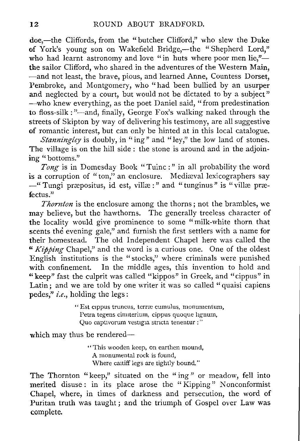doe,—the Cliffords, from the "butcher Clifford," who slew the Duke of York's young son on Wakefield Bridge,—the "Shepherd Lord," who had learnt astronomy and love "in huts where poor men lie,"the sailor Clifford, who shared in the adventures of the Western Main, —and not least, the brave, pious, and learned Anne, Countess Dorset, Pembroke, and Montgomery, who "had been bullied by an usurper and neglected by a court, but would not be dictated to by a subject" —who knew everything, as the poet Daniel said, "from predestination to floss-silk : "—and, finally, George Fox's walking naked through the streets of Skipton by way of delivering his testimony, are all suggestive of romantic interest, but can only be hinted at in this local catalogue.

*Stanningley is doubly, in "ing" and "ley," the low land of stones. The village is on the hill side : the stone is around and in the adjoining "bottoms."*

*Tong is in Domesday Book "Tuinc :" in all probability the word is a corruption of "ton," an enclosure . Mediaeval lexicographers say —" Tungi praepositus, id est, villae :" and "tunginus" is "villae pr am*<br>is a con<br><sup>4</sup> Tun<br>fectus."<br>*The* 

*Thornton is the enclosure among the thorns ; not the brambles, we may believe, but the hawthorns. The generally treeless character of the Iocality would give prominence to some "milk-white thorn that scents the evening gale," and furnish the first settlers with a name for their homestead. The old Independent Chapel here was called the "Kipping Chapel," and the word is a curious one . One of the oldest English institutions is the "stocks," where criminals were punished* with confinement. In the middle ages, this invention to hold and *"keep" fast the culprit was called "kippos" in Greek, and "cippus" in* Latin<sub>:</sub> and we are told by one writer it was so called "quaisi capiens" *pedes," i.e., holding the legs :*

> " Est cippus truncus, terræ cumulus, monumentum, Petra tegens cimiterium, cippus quoque lignum, Quo captivorum vesugia stncta tenentur : "

which may thus be rendered-

"This wooden keep, on earthen mound, A monumental rock is found, Where caitiff legs are tightly bound."

The Thornton "keep," situated on the "ing" or meadow, fell into merited disuse: in its place arose the "Kipping" Nonconformist Chapel, where, in times of darkness and persecution, the word of Puritan truth was taught ; and the triumph of Gospel over Law was complete.